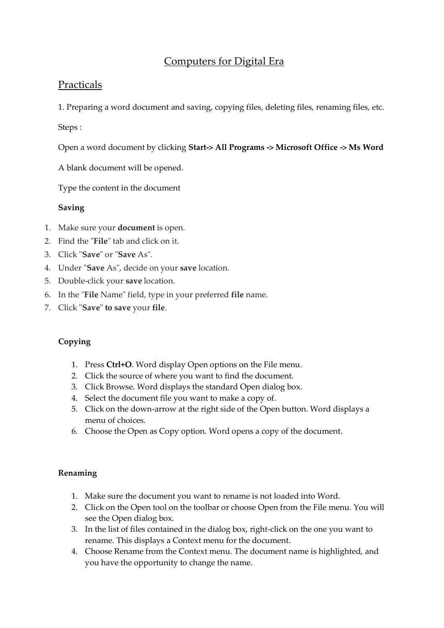# Computers for Digital Era

# Practicals

1. Preparing a word document and saving, copying files, deleting files, renaming files, etc.

Steps :

Open a word document by clicking **Start-> All Programs -> Microsoft Office -> Ms Word**

A blank document will be opened.

Type the content in the document

# **Saving**

- 1. Make sure your **document** is open.
- 2. Find the "**File**" tab and click on it.
- 3. Click "**Save**" or "**Save** As".
- 4. Under "**Save** As", decide on your **save** location.
- 5. Double-click your **save** location.
- 6. In the "**File** Name" field, type in your preferred **file** name.
- 7. Click "**Save**" **to save** your **file**.

# **Copying**

- 1. Press **Ctrl+O**. Word display Open options on the File menu.
- 2. Click the source of where you want to find the document.
- 3. Click Browse. Word displays the standard Open dialog box.
- 4. Select the document file you want to make a copy of.
- 5. Click on the down-arrow at the right side of the Open button. Word displays a menu of choices.
- 6. Choose the Open as Copy option. Word opens a copy of the document.

### **Renaming**

- 1. Make sure the document you want to rename is not loaded into Word.
- 2. Click on the Open tool on the toolbar or choose Open from the File menu. You will see the Open dialog box.
- 3. In the list of files contained in the dialog box, right-click on the one you want to rename. This displays a Context menu for the document.
- 4. Choose Rename from the Context menu. The document name is highlighted, and you have the opportunity to change the name.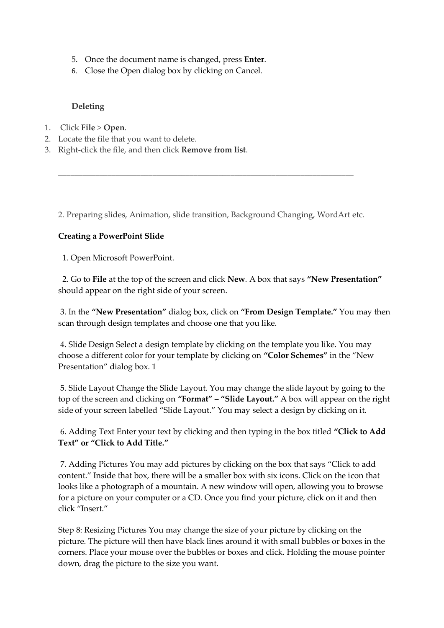- 5. Once the document name is changed, press **Enter**.
- 6. Close the Open dialog box by clicking on Cancel.

### **Deleting**

- 1. Click **File** > **Open**.
- 2. Locate the file that you want to delete.
- 3. Right-click the file, and then click **Remove from list**.

2. Preparing slides, Animation, slide transition, Background Changing, WordArt etc.

\_\_\_\_\_\_\_\_\_\_\_\_\_\_\_\_\_\_\_\_\_\_\_\_\_\_\_\_\_\_\_\_\_\_\_\_\_\_\_\_\_\_\_\_\_\_\_\_\_\_\_\_\_\_\_\_\_\_\_\_\_\_\_\_\_\_\_\_\_\_\_\_

### **Creating a PowerPoint Slide**

1. Open Microsoft PowerPoint.

2. Go to **File** at the top of the screen and click **New**. A box that says **"New Presentation"** should appear on the right side of your screen.

3. In the **"New Presentation"** dialog box, click on **"From Design Template."** You may then scan through design templates and choose one that you like.

4. Slide Design Select a design template by clicking on the template you like. You may choose a different color for your template by clicking on **"Color Schemes"** in the "New Presentation" dialog box. 1

5. Slide Layout Change the Slide Layout. You may change the slide layout by going to the top of the screen and clicking on **"Format" – "Slide Layout."** A box will appear on the right side of your screen labelled "Slide Layout." You may select a design by clicking on it.

6. Adding Text Enter your text by clicking and then typing in the box titled **"Click to Add Text" or "Click to Add Title."** 

7. Adding Pictures You may add pictures by clicking on the box that says "Click to add content." Inside that box, there will be a smaller box with six icons. Click on the icon that looks like a photograph of a mountain. A new window will open, allowing you to browse for a picture on your computer or a CD. Once you find your picture, click on it and then click "Insert."

Step 8: Resizing Pictures You may change the size of your picture by clicking on the picture. The picture will then have black lines around it with small bubbles or boxes in the corners. Place your mouse over the bubbles or boxes and click. Holding the mouse pointer down, drag the picture to the size you want.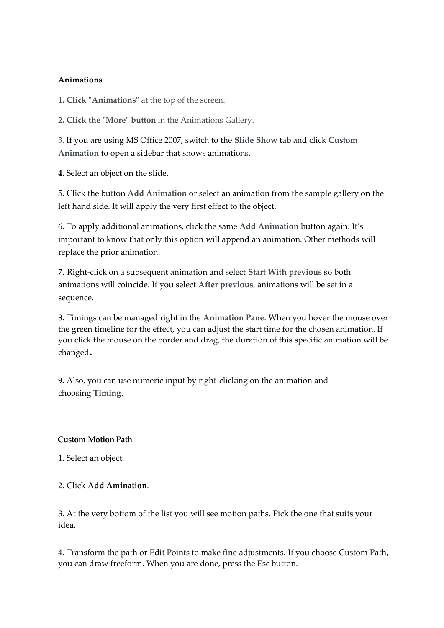#### **Animations**

**1. Click "Animations"** at the top of the screen.

**2. Click the "More" button** in the Animations Gallery.

3. If you are using MS Office 2007, switch to the **Slide Show** tab and click **Custom Animation** to open a sidebar that shows animations.

**4.** Select an object on the slide.

5. Click the button **Add Animation** or select an animation from the sample gallery on the left hand side. It will apply the very first effect to the object.

6. To apply additional animations, click the same **Add Animation** button again. It's important to know that only this option will append an animation. Other methods will replace the prior animation.

7. Right-click on a subsequent animation and select **Start With previous** so both animations will coincide. If you select **After previous**, animations will be set in a sequence.

8. Timings can be managed right in the **Animation Pane**. When you hover the mouse over the green timeline for the effect, you can adjust the start time for the chosen animation. If you click the mouse on the border and drag, the duration of this specific animation will be changed.

**9.** Also, you can use numeric input by right-clicking on the animation and choosing **Timing**.

### **Custom Motion Path**

1. Select an object.

## 2. Click **Add Amination**.

3. At the very bottom of the list you will see motion paths. Pick the one that suits your idea.

4. Transform the path or Edit Points to make fine adjustments. If you choose Custom Path, you can draw freeform. When you are done, press the Esc button.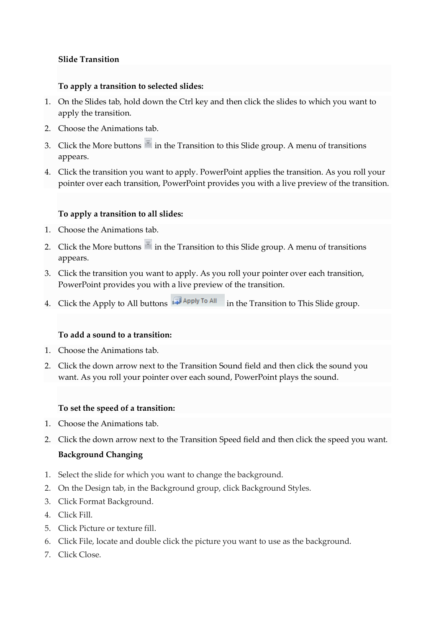#### **Slide Transition**

#### **To apply a transition to selected slides:**

- 1. On the Slides tab, hold down the Ctrl key and then click the slides to which you want to apply the transition.
- 2. Choose the Animations tab.
- 3. Click the More buttons  $\overline{a}$  in the Transition to this Slide group. A menu of transitions appears.
- 4. Click the transition you want to apply. PowerPoint applies the transition. As you roll your pointer over each transition, PowerPoint provides you with a live preview of the transition.

## **To apply a transition to all slides:**

- 1. Choose the Animations tab.
- 2. Click the More buttons  $\overline{a}$  in the Transition to this Slide group. A menu of transitions appears.
- 3. Click the transition you want to apply. As you roll your pointer over each transition, PowerPoint provides you with a live preview of the transition.
- 4. Click the Apply to All buttons **I** Apply To All in the Transition to This Slide group.

### **To add a sound to a transition:**

- 1. Choose the Animations tab.
- 2. Click the down arrow next to the Transition Sound field and then click the sound you want. As you roll your pointer over each sound, PowerPoint plays the sound.

#### **To set the speed of a transition:**

- 1. Choose the Animations tab.
- 2. Click the down arrow next to the Transition Speed field and then click the speed you want.

### **Background Changing**

- 1. Select the slide for which you want to change the background.
- 2. On the Design tab, in the Background group, click Background Styles.
- 3. Click Format Background.
- 4. Click Fill.
- 5. Click Picture or texture fill.
- 6. Click File, locate and double click the picture you want to use as the background.
- 7. Click Close.